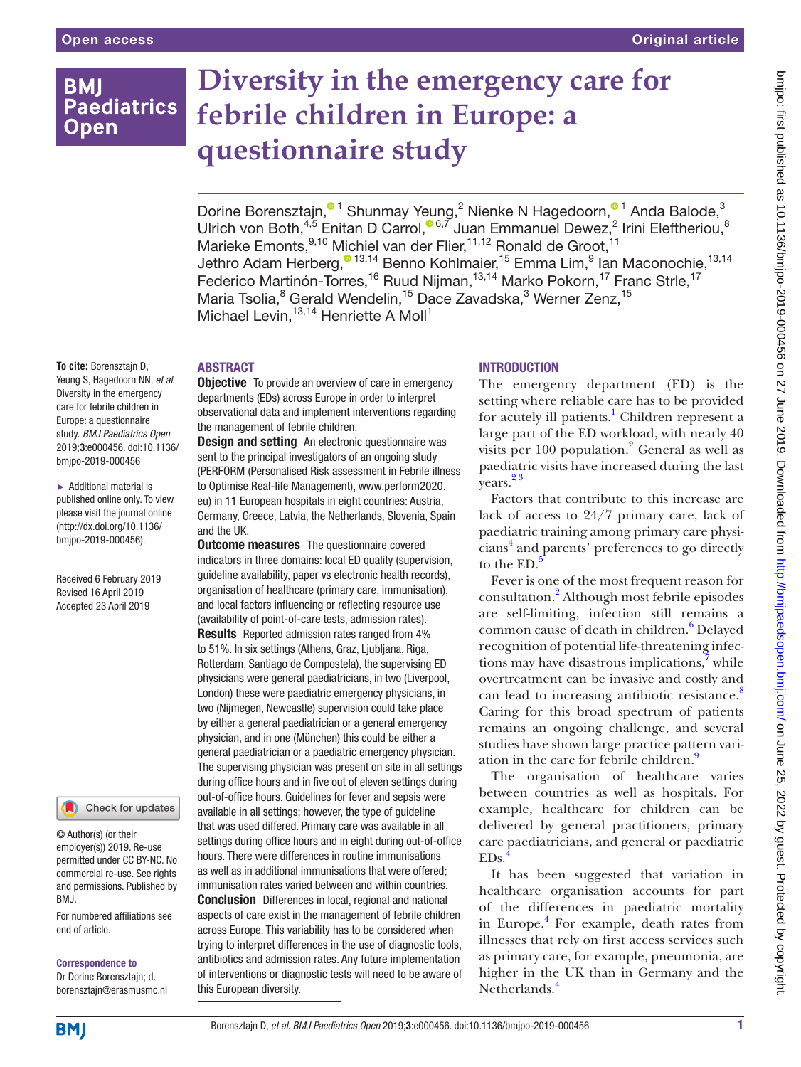## **BMI Paediatrics Open**

# **Diversity in the emergency care for febrile children in Europe: a questionnaire study**

Dorine Borensztajn,<sup>® 1</sup> Shunmay Yeung,<sup>2</sup> Nienke N Hagedoorn,<sup>® 1</sup> Anda Balode,<sup>3</sup> Ulrich von Both,<sup>4,5</sup> Enitan D Carrol,<sup>06,7</sup> Juan Emmanuel Dewez,<sup>[2](http://orcid.org/0000-0001-9237-4904)</sup> Irini Eleftheriou,<sup>8</sup> Marieke Emonts, <sup>9,10</sup> Michiel van der Flier,<sup>11,12</sup> Ronald de Groot,<sup>11</sup> Jethro Adam Herberg,<sup>o 13,14</sup> Benno Kohlmaier,<sup>15</sup> Emma Lim,<sup>9</sup> Ian Maconochie,<sup>13,14</sup> Federico Martinón-Torres,<sup>16</sup> Ruud Nijman,<sup>13,14</sup> Marko Pokorn,<sup>17</sup> Franc Strle,<sup>17</sup> Maria Tsolia,<sup>8</sup> Gerald Wendelin,<sup>15</sup> Dace Zavadska,<sup>3</sup> Werner Zenz,<sup>15</sup> Michael Levin,<sup>13,14</sup> Henriette A Moll<sup>1</sup>

## **ABSTRACT**

**Objective** To provide an overview of care in emergency departments (EDs) across Europe in order to interpret observational data and implement interventions regarding the management of febrile children.

**Design and setting** An electronic questionnaire was sent to the principal investigators of an ongoing study (PERFORM (Personalised Risk assessment in Febrile illness to Optimise Real-life Management), [www.perform2020.](www.perform2020.eu) [eu](www.perform2020.eu)) in 11 European hospitals in eight countries: Austria, Germany, Greece, Latvia, the Netherlands, Slovenia, Spain and the UK.

**Outcome measures** The questionnaire covered indicators in three domains: local ED quality (supervision, guideline availability, paper vs electronic health records), organisation of healthcare (primary care, immunisation), and local factors influencing or reflecting resource use (availability of point-of-care tests, admission rates). Results Reported admission rates ranged from 4% to 51%. In six settings (Athens, Graz, Ljubljana, Riga, Rotterdam, Santiago de Compostela), the supervising ED physicians were general paediatricians, in two (Liverpool, London) these were paediatric emergency physicians, in two (Nijmegen, Newcastle) supervision could take place by either a general paediatrician or a general emergency physician, and in one (München) this could be either a general paediatrician or a paediatric emergency physician. The supervising physician was present on site in all settings during office hours and in five out of eleven settings during out-of-office hours. Guidelines for fever and sepsis were available in all settings; however, the type of guideline that was used differed. Primary care was available in all settings during office hours and in eight during out-of-office hours. There were differences in routine immunisations as well as in additional immunisations that were offered;

immunisation rates varied between and within countries. Conclusion Differences in local, regional and national aspects of care exist in the management of febrile children across Europe. This variability has to be considered when trying to interpret differences in the use of diagnostic tools, antibiotics and admission rates. Any future implementation of interventions or diagnostic tests will need to be aware of this European diversity.

## **INTRODUCTION**

The emergency department (ED) is the setting where reliable care has to be provided for acutely ill patients.<sup>[1](#page-8-0)</sup> Children represent a large part of the ED workload, with nearly 40 visits per  $100$  population.<sup>[2](#page-8-1)</sup> General as well as paediatric visits have increased during the last years.[2 3](#page-8-1)

Factors that contribute to this increase are lack of access to 24/7 primary care, lack of paediatric training among primary care physicians<sup>4</sup> and parents' preferences to go directly to the  $ED<sup>5</sup>$  $ED<sup>5</sup>$  $ED<sup>5</sup>$ 

Fever is one of the most frequent reason for consultation.[2](#page-8-1) Although most febrile episodes are self-limiting, infection still remains a common cause of death in children.<sup>[6](#page-8-4)</sup> Delayed recognition of potential life-threatening infections may have disastrous implications,<sup>7</sup> while overtreatment can be invasive and costly and can lead to increasing antibiotic resistance.<sup>[8](#page-8-6)</sup> Caring for this broad spectrum of patients remains an ongoing challenge, and several studies have shown large practice pattern vari-ation in the care for febrile children.<sup>[9](#page-8-7)</sup>

The organisation of healthcare varies between countries as well as hospitals. For example, healthcare for children can be delivered by general practitioners, primary care paediatricians, and general or paediatric ED<sub>s</sub>.

It has been suggested that variation in healthcare organisation accounts for part of the differences in paediatric mortality in Europe.<sup>[4](#page-8-2)</sup> For example, death rates from illnesses that rely on first access services such as primary care, for example, pneumonia, are higher in the UK than in Germany and the Netherlands.<sup>[4](#page-8-2)</sup>

**To cite:** Borensztajn D, Yeung S, Hagedoorn NN, *et al*. Diversity in the emergency care for febrile children in Europe: a questionnaire study. *BMJ Paediatrics Open* 2019;3:e000456. doi:10.1136/ bmjpo-2019-000456

► Additional material is published online only. To view please visit the journal online ([http://dx.doi.org/10.1136/](http://dx.doi.org/10.1136bmjpo-2019-000456) [bmjpo-2019-000456](http://dx.doi.org/10.1136bmjpo-2019-000456)).

Received 6 February 2019 Revised 16 April 2019 Accepted 23 April 2019

Check for updates

© Author(s) (or their employer(s)) 2019. Re-use permitted under CC BY-NC. No commercial re-use. See rights and permissions. Published by BMJ.

For numbered affiliations see end of article.

Correspondence to Dr Dorine Borensztajn; d. borensztajn@erasmusmc.nl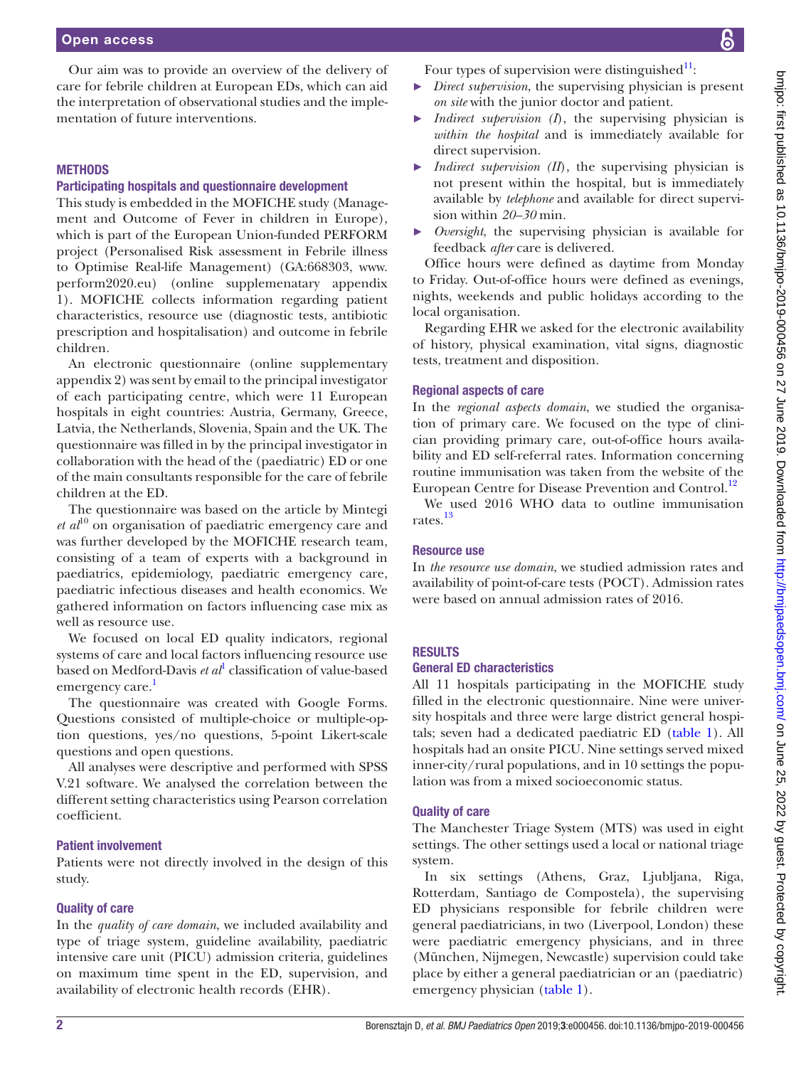Our aim was to provide an overview of the delivery of care for febrile children at European EDs, which can aid the interpretation of observational studies and the implementation of future interventions.

### **METHODS**

### Participating hospitals and questionnaire development

This study is embedded in the MOFICHE study (Management and Outcome of Fever in children in Europe), which is part of the European Union-funded PERFORM project (Personalised Risk assessment in Febrile illness to Optimise Real-life Management) (GA:668303, [www.](www.perform2020.eu.) [perform2020.eu\)](www.perform2020.eu.) ([online supplemenatary appendix](https://dx.doi.org/10.1136/bmjpo-2019-000456) [1](https://dx.doi.org/10.1136/bmjpo-2019-000456)). MOFICHE collects information regarding patient characteristics, resource use (diagnostic tests, antibiotic prescription and hospitalisation) and outcome in febrile children.

An electronic questionnaire [\(online supplementary](https://dx.doi.org/10.1136/bmjpo-2019-000456) [appendix 2](https://dx.doi.org/10.1136/bmjpo-2019-000456)) was sent by email to the principal investigator of each participating centre, which were 11 European hospitals in eight countries: Austria, Germany, Greece, Latvia, the Netherlands, Slovenia, Spain and the UK. The questionnaire was filled in by the principal investigator in collaboration with the head of the (paediatric) ED or one of the main consultants responsible for the care of febrile children at the ED.

The questionnaire was based on the article by Mintegi *et al*[10](#page-8-8) on organisation of paediatric emergency care and was further developed by the MOFICHE research team, consisting of a team of experts with a background in paediatrics, epidemiology, paediatric emergency care, paediatric infectious diseases and health economics. We gathered information on factors influencing case mix as well as resource use.

We focused on local ED quality indicators, regional systems of care and local factors influencing resource use based on Medford-Davis *et al*<sup>[1](#page-8-0)</sup> classification of value-based emergency care.<sup>[1](#page-8-0)</sup>

The questionnaire was created with Google Forms. Questions consisted of multiple-choice or multiple-option questions, yes/no questions, 5-point Likert-scale questions and open questions.

All analyses were descriptive and performed with SPSS V.21 software. We analysed the correlation between the different setting characteristics using Pearson correlation coefficient.

#### Patient involvement

Patients were not directly involved in the design of this study.

## Quality of care

In the *quality of care domain*, we included availability and type of triage system, guideline availability, paediatric intensive care unit (PICU) admission criteria, guidelines on maximum time spent in the ED, supervision, and availability of electronic health records (EHR).

Four types of supervision were distinguished $11$ :

- ► *Direct supervision*, the supervising physician is present *on site* with the junior doctor and patient.
- ► *Indirect supervision (I*), the supervising physician is *within the hospital* and is immediately available for direct supervision.
- *Indirect supervision*  $(II)$ *, the supervising physician is* not present within the hospital, but is immediately available by *telephone* and available for direct supervision within *20–30* min.
- ► *Oversight*, the supervising physician is available for feedback *after* care is delivered.

Office hours were defined as daytime from Monday to Friday. Out-of-office hours were defined as evenings, nights, weekends and public holidays according to the local organisation.

Regarding EHR we asked for the electronic availability of history, physical examination, vital signs, diagnostic tests, treatment and disposition.

### Regional aspects of care

In the *regional aspects domain*, we studied the organisation of primary care. We focused on the type of clinician providing primary care, out-of-office hours availability and ED self-referral rates. Information concerning routine immunisation was taken from the website of the European Centre for Disease Prevention and Control.<sup>12</sup>

We used 2016 WHO data to outline immunisation rates[.13](#page-8-11)

## Resource use

In *the resource use domain*, we studied admission rates and availability of point-of-care tests (POCT). Admission rates were based on annual admission rates of 2016.

## **RESULTS**

## General ED characteristics

All 11 hospitals participating in the MOFICHE study filled in the electronic questionnaire. Nine were university hospitals and three were large district general hospitals; seven had a dedicated paediatric ED ([table](#page-2-0) 1). All hospitals had an onsite PICU. Nine settings served mixed inner-city/rural populations, and in 10 settings the population was from a mixed socioeconomic status.

## Quality of care

The Manchester Triage System (MTS) was used in eight settings. The other settings used a local or national triage system.

In six settings (Athens, Graz, Ljubljana, Riga, Rotterdam, Santiago de Compostela), the supervising ED physicians responsible for febrile children were general paediatricians, in two (Liverpool, London) these were paediatric emergency physicians, and in three (München, Nijmegen, Newcastle) supervision could take place by either a general paediatrician or an (paediatric) emergency physician ([table](#page-2-0) 1).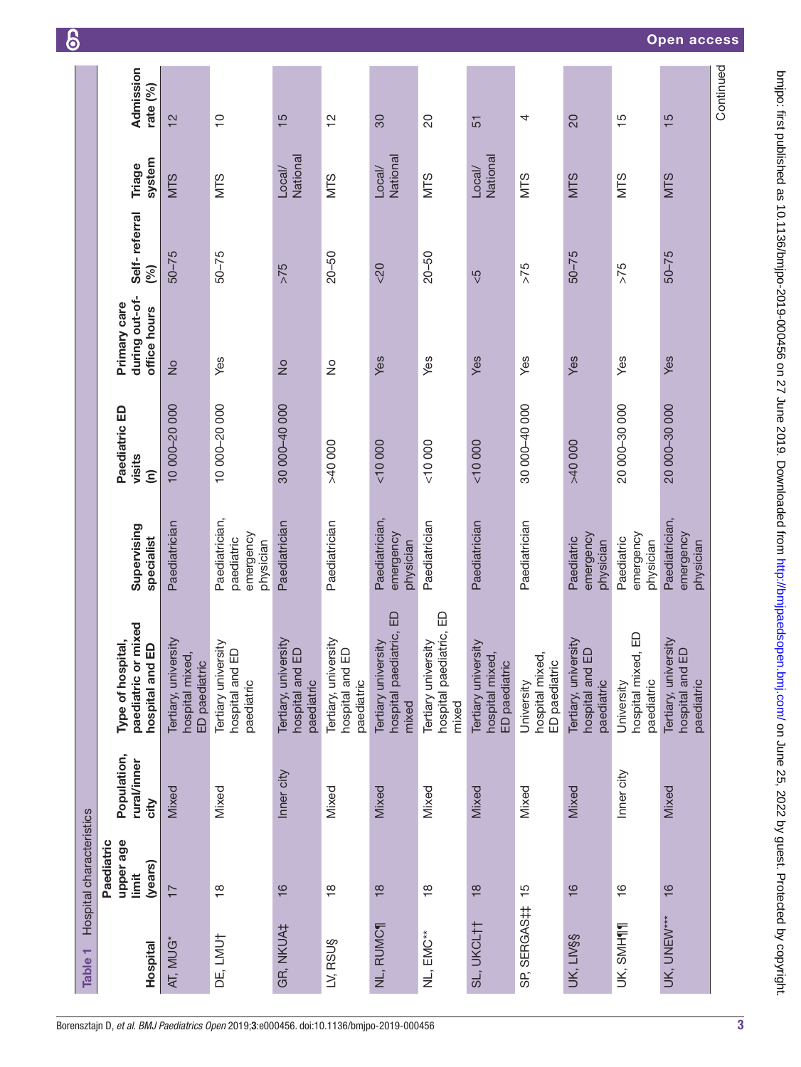| Table <sub>1</sub> | Hospital characteristics                    |                                    |                                                             |                                                        |                                                 |                                                |                      |                         |                       |
|--------------------|---------------------------------------------|------------------------------------|-------------------------------------------------------------|--------------------------------------------------------|-------------------------------------------------|------------------------------------------------|----------------------|-------------------------|-----------------------|
| Hospital           | Paediatric<br>upper age<br>(years)<br>limit | Population,<br>rural/inner<br>city | paediatric or mixed<br>Type of hospital,<br>hospital and ED | Supervising<br>specialist                              | Paediatric ED<br>visits<br>$\widehat{\epsilon}$ | during out-of-<br>Primary care<br>office hours | Self-referral<br>(%) | system<br><b>Triage</b> | Admission<br>rate (%) |
| AT, MUG*           | $\overline{1}$                              | Mixed                              | Tertiary, university<br>hospital mixed,<br>ED paediatric    | Paediatrician                                          | 10 000-20 000                                   | $\frac{1}{2}$                                  | $50 - 75$            | <b>NTS</b>              | $\frac{2}{3}$         |
| DE, LMU†           | $\frac{8}{10}$                              | Mixed                              | Tertiary university<br>hospital and ED<br>paediatric        | Paediatrician,<br>emergency<br>paediatric<br>physician | 10 000-20 000                                   | Yes                                            | $50 - 75$            | <b>MTS</b>              | $\frac{1}{\sqrt{2}}$  |
| GR, NKUA‡          | 16                                          | Inner city                         | Tertiary, university<br>hospital and ED<br>paediatric       | Paediatrician                                          | 30 000-40 000                                   | $\frac{1}{2}$                                  | 515                  | National<br>Local/      | $\frac{5}{1}$         |
| LV, RSU§           | $\frac{8}{10}$                              | Mixed                              | Tertiary, university<br>hospital and ED<br>paediatric       | Paediatrician                                          | >40000                                          | $\frac{1}{2}$                                  | $20 - 50$            | <b>MTS</b>              | $\frac{1}{2}$         |
| NL, RUMC¶          | $\frac{8}{18}$                              | Mixed                              | hospital paediatric, ED<br>Tertiary university<br>mixed     | Paediatrician,<br>emergency<br>physician               | < 10000                                         | Yes                                            | $rac{20}{5}$         | National<br>Local/      | 80                    |
| NL, EMC**          | $\frac{8}{1}$                               | Mixed                              | hospital paediatric, ED<br>Tertiary university<br>mixed     | Paediatrician                                          | < 10000                                         | Yes                                            | $20 - 50$            | <b>MTS</b>              | $\overline{c}$        |
| SL, UKCL††         | $\frac{8}{18}$                              | Mixed                              | Tertiary university<br>hospital mixed,<br>ED paediatric     | Paediatrician                                          | 10000                                           | Yes                                            | $\frac{6}{2}$        | National<br>Local/      | 51                    |
| SP, SERGAS‡‡       | $\frac{5}{5}$                               | Mixed                              | hospital mixed,<br>ED paediatric<br>University              | Paediatrician                                          | 30 000-40 000                                   | Yes                                            | >75                  | <b>NILS</b>             | 4                     |
| UK, LIV§§          | $\frac{6}{1}$                               | Mixed                              | lertlary, university<br>hospital and ED<br>paediatric       | emergency<br>Paediatric<br>physician                   | <b>240000</b>                                   | Yes                                            | $50 - 75$            | <b>MTS</b>              | 20                    |
| UK, SMH11          | $\frac{6}{1}$                               | Inner city                         | hospital mixed, ED<br>paediatric<br>University              | emergency<br>Paediatric<br>physician                   | 20 000-30 000                                   | Yes                                            | >75                  | SLM                     | $\frac{15}{2}$        |
| UK, UNEW ***       | $\frac{6}{1}$                               | Mixed                              | Tertiary, university<br>hospital and ED<br>paediatric       | Paediatrician,<br>emergency<br>physician               | 20 000-30 000                                   | Yes                                            | $50 - 75$            | <b>MTS</b>              | $\frac{5}{1}$         |
|                    |                                             |                                    |                                                             |                                                        |                                                 |                                                |                      |                         | Continued             |

<span id="page-2-0"></span>Borensztajn D, *et al*. *BMJ Paediatrics Open* 2019;3:e000456. doi:10.1136/bmjpo-2019-000456 3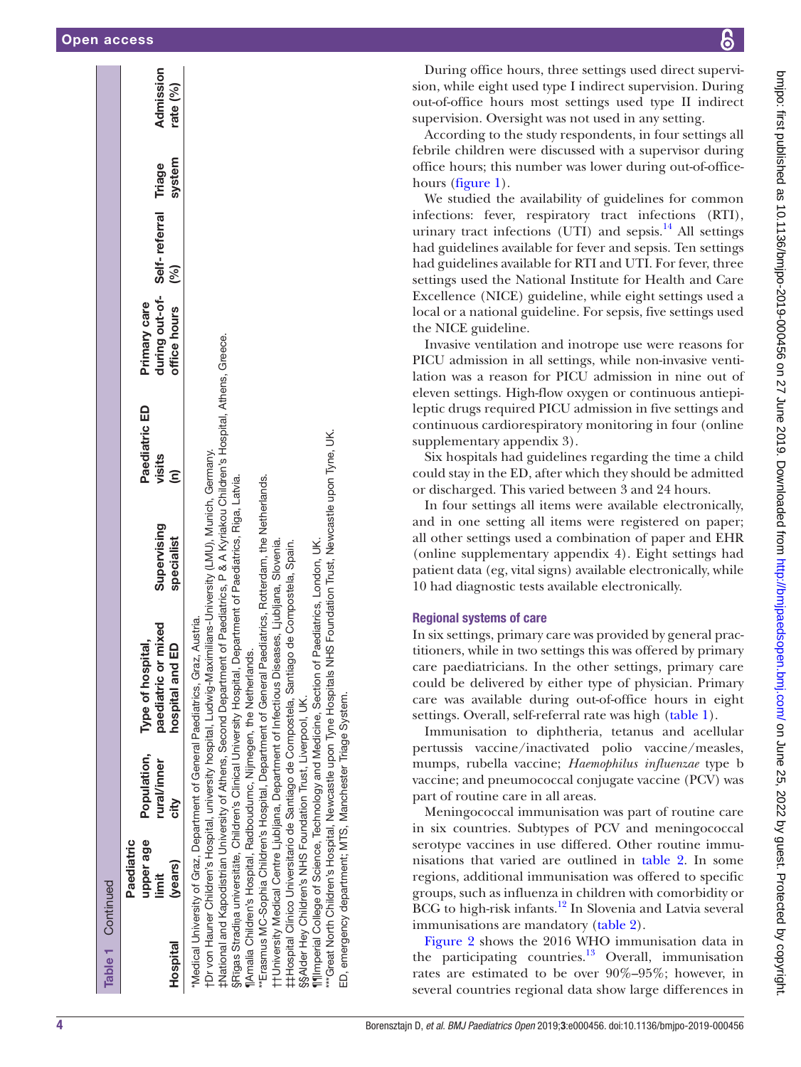| Table 1 Continued |                                                                                                                                               |                                    |                                                                                                                                                                                                                                                                                                                                           |                                                |                              |                                                |                           |                         |                       |
|-------------------|-----------------------------------------------------------------------------------------------------------------------------------------------|------------------------------------|-------------------------------------------------------------------------------------------------------------------------------------------------------------------------------------------------------------------------------------------------------------------------------------------------------------------------------------------|------------------------------------------------|------------------------------|------------------------------------------------|---------------------------|-------------------------|-----------------------|
| Hospital          | Paediatric<br>upper age<br>(years)<br>limit                                                                                                   | Population,<br>rural/inner<br>city | paediatric or mixed<br>Type of hospital,<br>⊞<br>hospital and                                                                                                                                                                                                                                                                             | Supervising<br>specialist                      | Paediatric ED<br>visits<br>Ē | during out-of-<br>Primary care<br>office hours | Self-referral<br>$\infty$ | system<br><b>Triage</b> | Admission<br>rate (%) |
|                   |                                                                                                                                               |                                    | tNational and Kapodistrian University of Athens, Second Department of Paediatrics, P & A Kyriakou Children's Hospital, Athens, Greece.<br>†Dr von Hauner Children's Hospital, university hospital, Ludwig-Maximilians-University (LMU), Munich, Germany.<br>Medical University of Graz, Department of General Paediatrics, Graz, Austria. |                                                |                              |                                                |                           |                         |                       |
|                   | ¶Amalia Children's Hospital, Radboudumc, Nijmegen, the Netherlands.<br>§Rīgas Stradiņa universitāte, Children's Clinical University Hospital, |                                    |                                                                                                                                                                                                                                                                                                                                           | Department of Paediatrics, Riga, Latvia.       |                              |                                                |                           |                         |                       |
|                   |                                                                                                                                               |                                    | "Erasmus MC-Sophia Children's Hospital, Department of General Paediatrics, Rotterdam, the Netherlands.                                                                                                                                                                                                                                    |                                                |                              |                                                |                           |                         |                       |
|                   |                                                                                                                                               |                                    | t†University Medical Centre Ljubljana, Department of Infectious Diseases, Ljubljana, Slovenia.                                                                                                                                                                                                                                            |                                                |                              |                                                |                           |                         |                       |
|                   |                                                                                                                                               |                                    | ‡‡Hospital Clínico Universitario de Santiago de Compostela, Santiago de Compostela, Spain.                                                                                                                                                                                                                                                |                                                |                              |                                                |                           |                         |                       |
|                   | §§Alder Hey Children's NHS Foundation Trust, Liverpool, UK.                                                                                   |                                    | ¶¶Imperial College of Science, Technology and Medicine, Section of Paediatrics, London, UK.                                                                                                                                                                                                                                               |                                                |                              |                                                |                           |                         |                       |
|                   | **Great North Children's Hospital, Newcastle upon Tyne Hospitals                                                                              |                                    |                                                                                                                                                                                                                                                                                                                                           | VHS Foundation Trust, Newcastle upon Tyne, UK. |                              |                                                |                           |                         |                       |
|                   | ED, emergency department; MTS, Manchester Triage System.                                                                                      |                                    |                                                                                                                                                                                                                                                                                                                                           |                                                |                              |                                                |                           |                         |                       |

During office hours, three settings used direct supervision, while eight used type I indirect supervision. During out-of-office hours most settings used type II indirect supervision. Oversight was not used in any setting.

According to the study respondents, in four settings all febrile children were discussed with a supervisor during office hours; this number was lower during out-of-officehours ([figure](#page-4-0) 1).

We studied the availability of guidelines for common infections: fever, respiratory tract infections (RTI), urinary tract infections (UTI) and sepsis. $^{14}$  All settings had guidelines available for fever and sepsis. Ten settings had guidelines available for RTI and UTI. For fever, three settings used the National Institute for Health and Care Excellence (NICE) guideline, while eight settings used a local or a national guideline. For sepsis, five settings used the NICE guideline.

Invasive ventilation and inotrope use were reasons for PICU admission in all settings, while non-invasive ventilation was a reason for PICU admission in nine out of eleven settings. High-flow oxygen or continuous antiepileptic drugs required PICU admission in five settings and continuous cardiorespiratory monitoring in four [\(online](https://dx.doi.org/10.1136/bmjpo-2019-000456) [supplementary appendix 3](https://dx.doi.org/10.1136/bmjpo-2019-000456)).

Six hospitals had guidelines regarding the time a child could stay in the ED, after which they should be admitted or discharged. This varied between 3 and 24 hours.

In four settings all items were available electronically, and in one setting all items were registered on paper; all other settings used a combination of paper and EHR [\(online supplementary appendix 4](https://dx.doi.org/10.1136/bmjpo-2019-000456)). Eight settings had patient data (eg, vital signs) available electronically, while 10 had diagnostic tests available electronically.

## Regional systems of care

In six settings, primary care was provided by general practitioners, while in two settings this was offered by primary care paediatricians. In the other settings, primary care could be delivered by either type of physician. Primary care was available during out-of-office hours in eight settings. Overall, self-referral rate was high [\(table](#page-2-0) 1).

Immunisation to diphtheria, tetanus and acellular pertussis vaccine/inactivated polio vaccine/measles, mumps, rubella vaccine; *Haemophilus influenzae* type b vaccine; and pneumococcal conjugate vaccine (PCV) was part of routine care in all areas.

Meningococcal immunisation was part of routine care in six countries. Subtypes of PCV and meningococcal serotype vaccines in use differed. Other routine immunisations that varied are outlined in [table](#page-4-1) 2. In some regions, additional immunisation was offered to specific groups, such as influenza in children with comorbidity or BCG to high-risk infants.<sup>12</sup> In Slovenia and Latvia several immunisations are mandatory [\(table](#page-4-1) 2).

[Figure](#page-5-0) 2 shows the 2016 WHO immunisation data in the participating countries. $13$  Overall, immunisation rates are estimated to be over 90%–95%; however, in several countries regional data show large differences in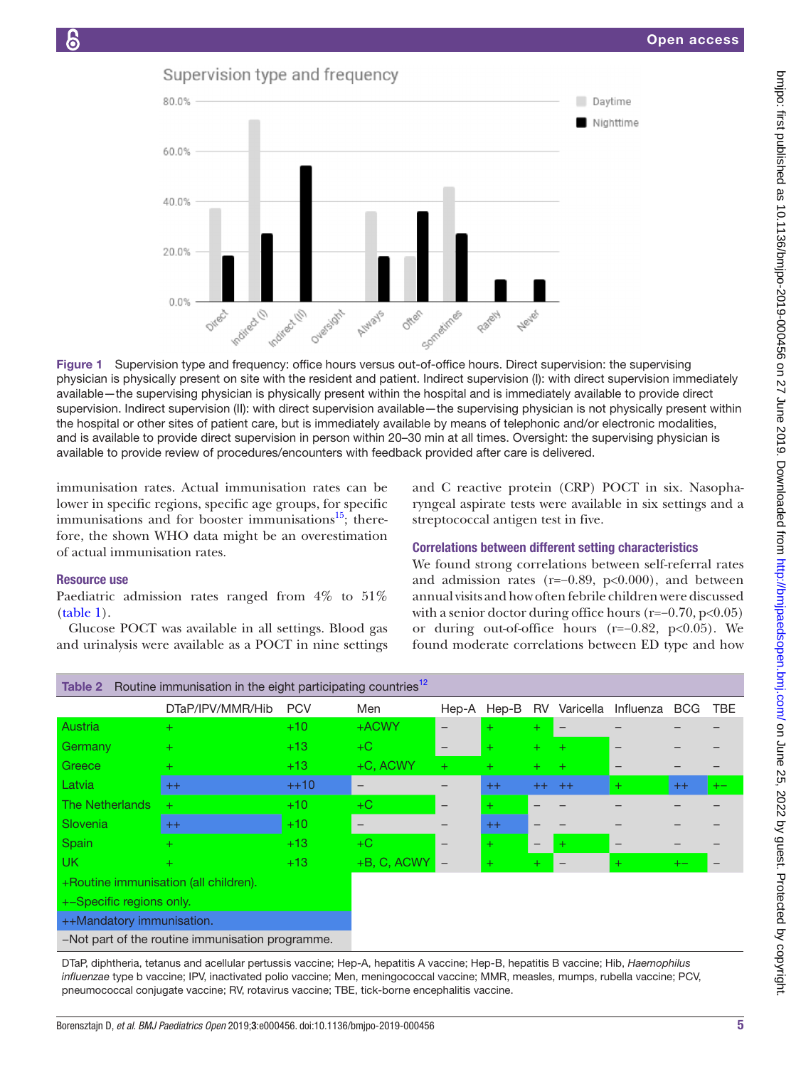

<span id="page-4-0"></span>Figure 1 Supervision type and frequency: office hours versus out-of-office hours. Direct supervision: the supervising physician is physically present on site with the resident and patient. Indirect supervision (I): with direct supervision immediately available—the supervising physician is physically present within the hospital and is immediately available to provide direct supervision. Indirect supervision (II): with direct supervision available—the supervising physician is not physically present within the hospital or other sites of patient care, but is immediately available by means of telephonic and/or electronic modalities, and is available to provide direct supervision in person within 20–30 min at all times. Oversight: the supervising physician is available to provide review of procedures/encounters with feedback provided after care is delivered.

immunisation rates. Actual immunisation rates can be lower in specific regions, specific age groups, for specific immunisations and for booster immunisations $^{15}$ ; therefore, the shown WHO data might be an overestimation of actual immunisation rates.

#### Resource use

Paediatric admission rates ranged from 4% to 51% [\(table](#page-2-0) 1).

Glucose POCT was available in all settings. Blood gas and urinalysis were available as a POCT in nine settings

and C reactive protein (CRP) POCT in six. Nasopharyngeal aspirate tests were available in six settings and a streptococcal antigen test in five.

## Correlations between different setting characteristics

We found strong correlations between self-referral rates and admission rates ( $r=-0.89$ ,  $p<0.000$ ), and between annual visits and how often febrile children were discussed with a senior doctor during office hours ( $r=-0.70$ ,  $p<0.05$ ) or during out-of-office hours (r=−0.82, p<0.05). We found moderate correlations between ED type and how

<span id="page-4-1"></span>

| Table 2                   | Routine immunisation in the eight participating countries <sup>12</sup> |            |             |                          |       |                   |                   |           |            |            |
|---------------------------|-------------------------------------------------------------------------|------------|-------------|--------------------------|-------|-------------------|-------------------|-----------|------------|------------|
|                           | DTaP/IPV/MMR/Hib                                                        | <b>PCV</b> | Men         | Hep-A                    | Hep-B | RV                | Varicella         | Influenza | <b>BCG</b> | <b>TBE</b> |
| Austria                   | $+$                                                                     | $+10$      | +ACWY       | $\overline{\phantom{0}}$ | $+$   | $+$               | $\qquad \qquad -$ |           |            |            |
| Germany                   | $+$                                                                     | $+13$      | $+C$        |                          | $+$   | $\pm$             | $+$               |           |            |            |
| <b>Greece</b>             | $+$                                                                     | $+13$      | +C, ACWY    | $+$                      | $+$   | $+$               | $+$               |           |            |            |
| Latvia                    | $++$                                                                    | $++10$     | -           |                          | $++$  | $++$              | $++$              | $+$       | $++$       |            |
| <b>The Netherlands</b>    | $+$                                                                     | $+10$      | $+C$        | -                        | $+$   |                   |                   |           |            |            |
| Slovenia                  | $++$                                                                    | $+10$      |             |                          | $++$  |                   |                   |           |            |            |
| <b>Spain</b>              | $+$                                                                     | $+13$      | $+C$        |                          | $+$   | $\qquad \qquad -$ | $+$               | -         |            |            |
| UK.                       | $+$                                                                     | $+13$      | +B, C, ACWY | $\overline{\phantom{0}}$ | $+$   | $+$               | $\qquad \qquad -$ | $+$       | $+ -$      |            |
|                           | +Routine immunisation (all children).                                   |            |             |                          |       |                   |                   |           |            |            |
| +-Specific regions only.  |                                                                         |            |             |                          |       |                   |                   |           |            |            |
| ++Mandatory immunisation. |                                                                         |            |             |                          |       |                   |                   |           |            |            |
|                           | -Not part of the routine immunisation programme.                        |            |             |                          |       |                   |                   |           |            |            |

DTaP, diphtheria, tetanus and acellular pertussis vaccine; Hep-A, hepatitis A vaccine; Hep-B, hepatitis B vaccine; Hib, *Haemophilus influenzae* type b vaccine; IPV, inactivated polio vaccine; Men, meningococcal vaccine; MMR, measles, mumps, rubella vaccine; PCV, pneumococcal conjugate vaccine; RV, rotavirus vaccine; TBE, tick-borne encephalitis vaccine.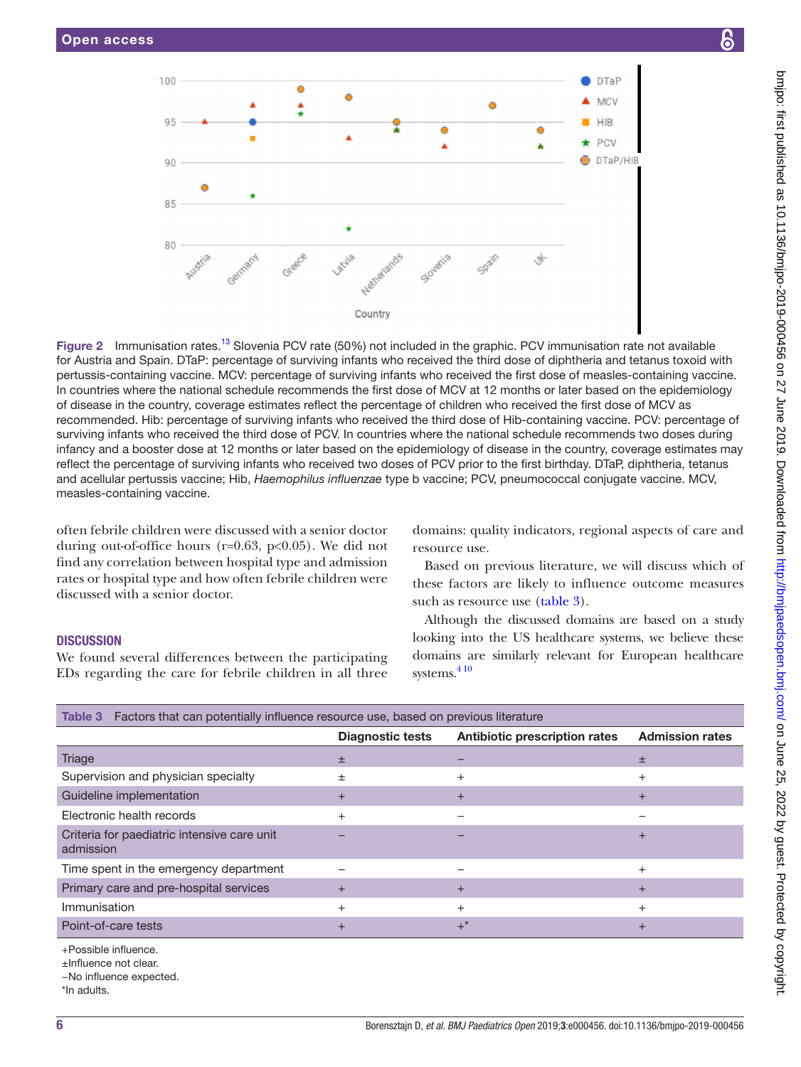

<span id="page-5-0"></span>Figure 2 Immunisation rates.<sup>[13](#page-8-11)</sup> Slovenia PCV rate (50%) not included in the graphic. PCV immunisation rate not available for Austria and Spain. DTaP: percentage of surviving infants who received the third dose of diphtheria and tetanus toxoid with pertussis-containing vaccine. MCV: percentage of surviving infants who received the first dose of measles-containing vaccine. In countries where the national schedule recommends the first dose of MCV at 12 months or later based on the epidemiology of disease in the country, coverage estimates reflect the percentage of children who received the first dose of MCV as recommended. Hib: percentage of surviving infants who received the third dose of Hib-containing vaccine. PCV: percentage of surviving infants who received the third dose of PCV. In countries where the national schedule recommends two doses during infancy and a booster dose at 12 months or later based on the epidemiology of disease in the country, coverage estimates may reflect the percentage of surviving infants who received two doses of PCV prior to the first birthday. DTaP, diphtheria, tetanus and acellular pertussis vaccine; Hib, *Haemophilus influenzae* type b vaccine; PCV, pneumococcal conjugate vaccine. MCV, measles-containing vaccine.

often febrile children were discussed with a senior doctor during out-of-office hours ( $r=0.63$ ,  $p<0.05$ ). We did not find any correlation between hospital type and admission rates or hospital type and how often febrile children were discussed with a senior doctor.

#### **DISCUSSION**

We found several differences between the participating EDs regarding the care for febrile children in all three

domains: quality indicators, regional aspects of care and resource use.

Based on previous literature, we will discuss which of these factors are likely to influence outcome measures such as resource use [\(table](#page-5-1) 3).

Although the discussed domains are based on a study looking into the US healthcare systems, we believe these domains are similarly relevant for European healthcare systems.<sup>410</sup>

<span id="page-5-1"></span>

| Table 3 Factors that can potentially influence resource use, based on previous literature |                         |                               |                        |
|-------------------------------------------------------------------------------------------|-------------------------|-------------------------------|------------------------|
|                                                                                           | <b>Diagnostic tests</b> | Antibiotic prescription rates | <b>Admission rates</b> |
| Triage                                                                                    | 士                       |                               | 土                      |
| Supervision and physician specialty                                                       | 土                       | $^{+}$                        | $\overline{+}$         |
| Guideline implementation                                                                  | $\ddot{}$               | $+$                           | $+$                    |
| Electronic health records                                                                 | $^{+}$                  |                               |                        |
| Criteria for paediatric intensive care unit<br>admission                                  |                         |                               | $\ddot{}$              |
| Time spent in the emergency department                                                    |                         |                               | $\ddot{}$              |
| Primary care and pre-hospital services                                                    | $\ddot{}$               | $+$                           | $+$                    |
| Immunisation                                                                              | $\ddot{}$               | $^{+}$                        | $\ddot{}$              |
| Point-of-care tests                                                                       | $\ddot{}$               | $+^*$                         | $+$                    |

+Possible influence.

±Influence not clear.

−No influence expected.

\*In adults.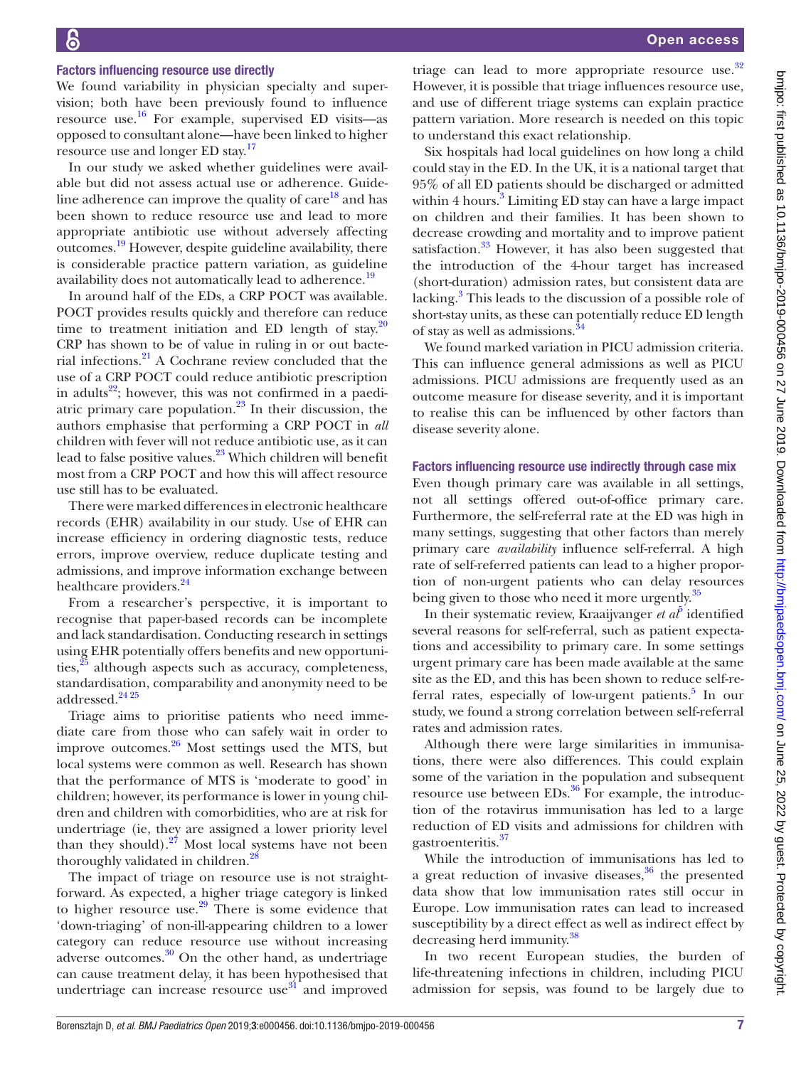#### Factors influencing resource use directly

We found variability in physician specialty and supervision; both have been previously found to influence resource use. [16](#page-8-14) For example, supervised ED visits—as opposed to consultant alone—have been linked to higher resource use and longer ED stay.[17](#page-8-15)

In our study we asked whether guidelines were available but did not assess actual use or adherence. Guide-line adherence can improve the quality of care<sup>[18](#page-8-16)</sup> and has been shown to reduce resource use and lead to more appropriate antibiotic use without adversely affecting outcomes.[19](#page-8-17) However, despite guideline availability, there is considerable practice pattern variation, as guideline availability does not automatically lead to adherence.<sup>19</sup>

In around half of the EDs, a CRP POCT was available. POCT provides results quickly and therefore can reduce time to treatment initiation and ED length of stay. $20$ CRP has shown to be of value in ruling in or out bacterial infections.[21](#page-8-19) A Cochrane review concluded that the use of a CRP POCT could reduce antibiotic prescription in adults $^{22}$  $^{22}$  $^{22}$ ; however, this was not confirmed in a paediatric primary care population. $23$  In their discussion, the authors emphasise that performing a CRP POCT in *all* children with fever will not reduce antibiotic use, as it can lead to false positive values.<sup>[23](#page-8-21)</sup> Which children will benefit most from a CRP POCT and how this will affect resource use still has to be evaluated.

There were marked differences in electronic healthcare records (EHR) availability in our study. Use of EHR can increase efficiency in ordering diagnostic tests, reduce errors, improve overview, reduce duplicate testing and admissions, and improve information exchange between healthcare providers.<sup>24</sup>

From a researcher's perspective, it is important to recognise that paper-based records can be incomplete and lack standardisation. Conducting research in settings using EHR potentially offers benefits and new opportunities, $^{25}$  although aspects such as accuracy, completeness, standardisation, comparability and anonymity need to be addressed.<sup>24</sup> <sup>25</sup>

Triage aims to prioritise patients who need immediate care from those who can safely wait in order to improve outcomes.<sup>26</sup> Most settings used the MTS, but local systems were common as well. Research has shown that the performance of MTS is 'moderate to good' in children; however, its performance is lower in young children and children with comorbidities, who are at risk for undertriage (ie, they are assigned a lower priority level than they should). $2^7$  Most local systems have not been thoroughly validated in children.<sup>[28](#page-8-26)</sup>

The impact of triage on resource use is not straightforward. As expected, a higher triage category is linked to higher resource use.<sup>29</sup> There is some evidence that 'down-triaging' of non-ill-appearing children to a lower category can reduce resource use without increasing adverse outcomes. $30$  On the other hand, as undertriage can cause treatment delay, it has been hypothesised that undertriage can increase resource use $31$  and improved

triage can lead to more appropriate resource use.<sup>[32](#page-8-30)</sup> However, it is possible that triage influences resource use, and use of different triage systems can explain practice pattern variation. More research is needed on this topic to understand this exact relationship.

Six hospitals had local guidelines on how long a child could stay in the ED. In the UK, it is a national target that 95% of all ED patients should be discharged or admitted within 4 hours.<sup>[3](#page-8-31)</sup> Limiting ED stay can have a large impact on children and their families. It has been shown to decrease crowding and mortality and to improve patient satisfaction.<sup>33</sup> However, it has also been suggested that the introduction of the 4-hour target has increased (short-duration) admission rates, but consistent data are lacking.<sup>[3](#page-8-31)</sup> This leads to the discussion of a possible role of short-stay units, as these can potentially reduce ED length of stay as well as admissions.<sup>[34](#page-8-33)</sup>

We found marked variation in PICU admission criteria. This can influence general admissions as well as PICU admissions. PICU admissions are frequently used as an outcome measure for disease severity, and it is important to realise this can be influenced by other factors than disease severity alone.

#### Factors influencing resource use indirectly through case mix

Even though primary care was available in all settings, not all settings offered out-of-office primary care. Furthermore, the self-referral rate at the ED was high in many settings, suggesting that other factors than merely primary care *availability* influence self-referral. A high rate of self-referred patients can lead to a higher proportion of non-urgent patients who can delay resources being given to those who need it more urgently.<sup>[35](#page-8-34)</sup>

In their systematic review, Kraaijvanger *et al*<sup> $\delta$ </sup> identified several reasons for self-referral, such as patient expectations and accessibility to primary care. In some settings urgent primary care has been made available at the same site as the ED, and this has been shown to reduce self-re-ferral rates, especially of low-urgent patients.<sup>[5](#page-8-3)</sup> In our study, we found a strong correlation between self-referral rates and admission rates.

Although there were large similarities in immunisations, there were also differences. This could explain some of the variation in the population and subsequent resource use between  $EDs<sup>36</sup>$  $EDs<sup>36</sup>$  $EDs<sup>36</sup>$  For example, the introduction of the rotavirus immunisation has led to a large reduction of ED visits and admissions for children with gastroenteritis.<sup>37</sup>

While the introduction of immunisations has led to a great reduction of invasive diseases, $36$  the presented data show that low immunisation rates still occur in Europe. Low immunisation rates can lead to increased susceptibility by a direct effect as well as indirect effect by decreasing herd immunity.<sup>[38](#page-8-37)</sup>

In two recent European studies, the burden of life-threatening infections in children, including PICU admission for sepsis, was found to be largely due to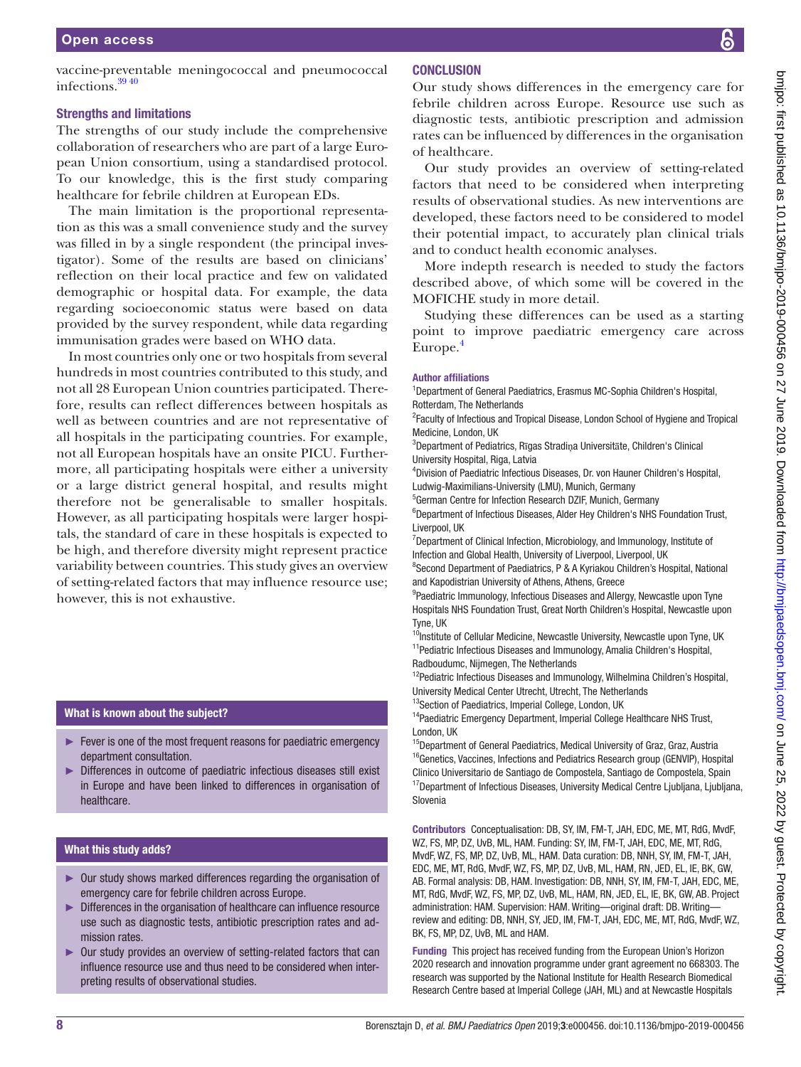vaccine-preventable meningococcal and pneumococcal infections.<sup>3940</sup>

#### Strengths and limitations

The strengths of our study include the comprehensive collaboration of researchers who are part of a large European Union consortium, using a standardised protocol. To our knowledge, this is the first study comparing healthcare for febrile children at European EDs.

The main limitation is the proportional representation as this was a small convenience study and the survey was filled in by a single respondent (the principal investigator). Some of the results are based on clinicians' reflection on their local practice and few on validated demographic or hospital data. For example, the data regarding socioeconomic status were based on data provided by the survey respondent, while data regarding immunisation grades were based on WHO data.

In most countries only one or two hospitals from several hundreds in most countries contributed to this study, and not all 28 European Union countries participated. Therefore, results can reflect differences between hospitals as well as between countries and are not representative of all hospitals in the participating countries. For example, not all European hospitals have an onsite PICU. Furthermore, all participating hospitals were either a university or a large district general hospital, and results might therefore not be generalisable to smaller hospitals. However, as all participating hospitals were larger hospitals, the standard of care in these hospitals is expected to be high, and therefore diversity might represent practice variability between countries. This study gives an overview of setting-related factors that may influence resource use; however, this is not exhaustive.

### What is known about the subject?

- ► Fever is one of the most frequent reasons for paediatric emergency department consultation.
- ► Differences in outcome of paediatric infectious diseases still exist in Europe and have been linked to differences in organisation of healthcare.

#### What this study adds?

- ► Our study shows marked differences regarding the organisation of emergency care for febrile children across Europe.
- ► Differences in the organisation of healthcare can influence resource use such as diagnostic tests, antibiotic prescription rates and admission rates.
- ► Our study provides an overview of setting-related factors that can influence resource use and thus need to be considered when interpreting results of observational studies.

#### **CONCLUSION**

Our study shows differences in the emergency care for febrile children across Europe. Resource use such as diagnostic tests, antibiotic prescription and admission rates can be influenced by differences in the organisation of healthcare.

Our study provides an overview of setting-related factors that need to be considered when interpreting results of observational studies. As new interventions are developed, these factors need to be considered to model their potential impact, to accurately plan clinical trials and to conduct health economic analyses.

More indepth research is needed to study the factors described above, of which some will be covered in the MOFICHE study in more detail.

Studying these differences can be used as a starting point to improve paediatric emergency care across Europe.<sup>[4](#page-8-2)</sup>

#### Author affiliations

<sup>1</sup>Department of General Paediatrics, Erasmus MC-Sophia Children's Hospital, Rotterdam, The Netherlands

<sup>2</sup> Faculty of Infectious and Tropical Disease, London School of Hygiene and Tropical Medicine, London, UK

3 Department of Pediatrics, Rīgas Stradiņa Universitāte, Children's Clinical University Hospital, Riga, Latvia

4 Division of Paediatric Infectious Diseases, Dr. von Hauner Children's Hospital, Ludwig-Maximilians-University (LMU), Munich, Germany

5 German Centre for Infection Research DZIF, Munich, Germany

<sup>6</sup>Department of Infectious Diseases, Alder Hey Children's NHS Foundation Trust, Liverpool, UK

<sup>7</sup>Department of Clinical Infection, Microbiology, and Immunology, Institute of Infection and Global Health, University of Liverpool, Liverpool, UK

<sup>8</sup> Second Department of Paediatrics, P & A Kyriakou Children's Hospital, National and Kapodistrian University of Athens, Athens, Greece

<sup>9</sup>Paediatric Immunology, Infectious Diseases and Allergy, Newcastle upon Tyne Hospitals NHS Foundation Trust, Great North Children's Hospital, Newcastle upon Tyne, UK

<sup>10</sup>Institute of Cellular Medicine, Newcastle University, Newcastle upon Tyne, UK <sup>11</sup> Pediatric Infectious Diseases and Immunology, Amalia Children's Hospital, Radboudumc, Nijmegen, The Netherlands

<sup>12</sup>Pediatric Infectious Diseases and Immunology, Wilhelmina Children's Hospital, University Medical Center Utrecht, Utrecht, The Netherlands

<sup>13</sup>Section of Paediatrics, Imperial College, London, UK

<sup>14</sup>Paediatric Emergency Department, Imperial College Healthcare NHS Trust, London, UK

<sup>15</sup>Department of General Paediatrics, Medical University of Graz, Graz, Austria <sup>16</sup>Genetics, Vaccines, Infections and Pediatrics Research group (GENVIP), Hospital Clinico Universitario de Santiago de Compostela, Santiago de Compostela, Spain <sup>17</sup>Department of Infectious Diseases, University Medical Centre Ljubljana, Ljubljana, Slovenia

Contributors Conceptualisation: DB, SY, IM, FM-T, JAH, EDC, ME, MT, RdG, MvdF, WZ, FS, MP, DZ, UvB, ML, HAM. Funding: SY, IM, FM-T, JAH, EDC, ME, MT, RdG, MvdF, WZ, FS, MP, DZ, UvB, ML, HAM. Data curation: DB, NNH, SY, IM, FM-T, JAH, EDC, ME, MT, RdG, MvdF, WZ, FS, MP, DZ, UvB, ML, HAM, RN, JED, EL, IE, BK, GW, AB. Formal analysis: DB, HAM. Investigation: DB, NNH, SY, IM, FM-T, JAH, EDC, ME, MT, RdG, MvdF, WZ, FS, MP, DZ, UvB, ML, HAM, RN, JED, EL, IE, BK, GW, AB. Project administration: HAM. Supervision: HAM. Writing—original draft: DB. Writing review and editing: DB, NNH, SY, JED, IM, FM-T, JAH, EDC, ME, MT, RdG, MvdF, WZ, BK, FS, MP, DZ, UvB, ML and HAM.

Funding This project has received funding from the European Union's Horizon 2020 research and innovation programme under grant agreement no 668303. The research was supported by the National Institute for Health Research Biomedical Research Centre based at Imperial College (JAH, ML) and at Newcastle Hospitals